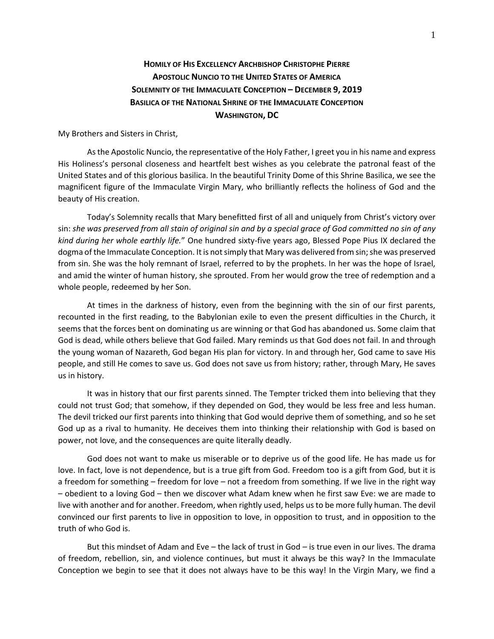## **HOMILY OF HIS EXCELLENCY ARCHBISHOP CHRISTOPHE PIERRE APOSTOLIC NUNCIO TO THE UNITED STATES OF AMERICA SOLEMNITY OF THE IMMACULATE CONCEPTION – DECEMBER 9, 2019 BASILICA OF THE NATIONAL SHRINE OF THE IMMACULATE CONCEPTION WASHINGTON, DC**

My Brothers and Sisters in Christ,

As the Apostolic Nuncio, the representative of the Holy Father, I greet you in his name and express His Holiness's personal closeness and heartfelt best wishes as you celebrate the patronal feast of the United States and of this glorious basilica. In the beautiful Trinity Dome of this Shrine Basilica, we see the magnificent figure of the Immaculate Virgin Mary, who brilliantly reflects the holiness of God and the beauty of His creation.

Today's Solemnity recalls that Mary benefitted first of all and uniquely from Christ's victory over sin: *she was preserved from all stain of original sin and by a special grace of God committed no sin of any kind during her whole earthly life.*" One hundred sixty-five years ago, Blessed Pope Pius IX declared the dogma of the Immaculate Conception. It is not simply that Mary was delivered from sin; she was preserved from sin. She was the holy remnant of Israel, referred to by the prophets. In her was the hope of Israel, and amid the winter of human history, she sprouted. From her would grow the tree of redemption and a whole people, redeemed by her Son.

At times in the darkness of history, even from the beginning with the sin of our first parents, recounted in the first reading, to the Babylonian exile to even the present difficulties in the Church, it seems that the forces bent on dominating us are winning or that God has abandoned us. Some claim that God is dead, while others believe that God failed. Mary reminds us that God does not fail. In and through the young woman of Nazareth, God began His plan for victory. In and through her, God came to save His people, and still He comes to save us. God does not save us from history; rather, through Mary, He saves us in history.

It was in history that our first parents sinned. The Tempter tricked them into believing that they could not trust God; that somehow, if they depended on God, they would be less free and less human. The devil tricked our first parents into thinking that God would deprive them of something, and so he set God up as a rival to humanity. He deceives them into thinking their relationship with God is based on power, not love, and the consequences are quite literally deadly.

God does not want to make us miserable or to deprive us of the good life. He has made us for love. In fact, love is not dependence, but is a true gift from God. Freedom too is a gift from God, but it is a freedom for something – freedom for love – not a freedom from something. If we live in the right way – obedient to a loving God – then we discover what Adam knew when he first saw Eve: we are made to live with another and for another. Freedom, when rightly used, helps us to be more fully human. The devil convinced our first parents to live in opposition to love, in opposition to trust, and in opposition to the truth of who God is.

But this mindset of Adam and Eve – the lack of trust in God – is true even in our lives. The drama of freedom, rebellion, sin, and violence continues, but must it always be this way? In the Immaculate Conception we begin to see that it does not always have to be this way! In the Virgin Mary, we find a